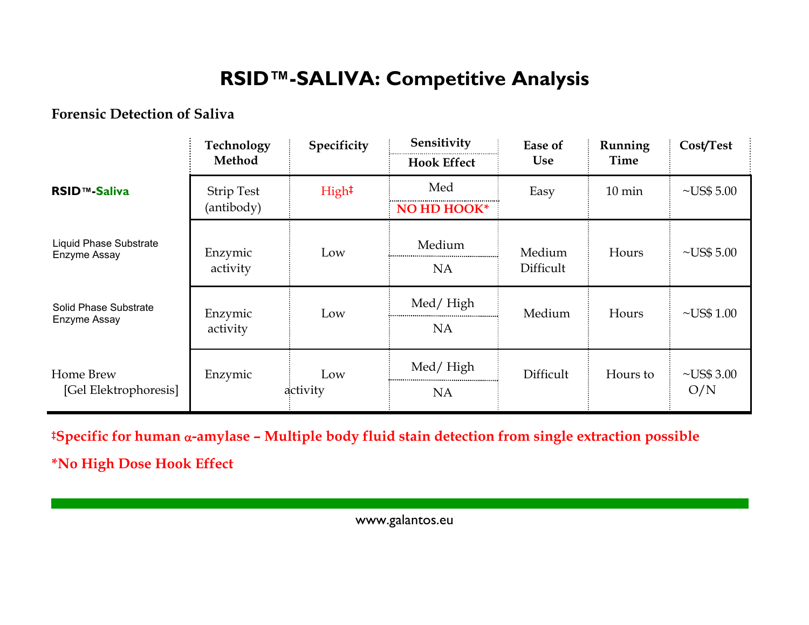## **RSID™-SALIVA: Competitive Analysis**

#### **Forensic Detection of Saliva**

|                                        | Technology<br>Method            | Specificity       | Sensitivity<br><b>Hook Effect</b> | Ease of<br><b>Use</b> | Running<br>Time  | Cost/Test               |
|----------------------------------------|---------------------------------|-------------------|-----------------------------------|-----------------------|------------------|-------------------------|
| <b>RSID™-Saliva</b>                    | <b>Strip Test</b><br>(antibody) | High <sup>‡</sup> | Med<br>NO HD HOOK*                | Easy                  | $10 \text{ min}$ | $\neg$ US\$ 5.00        |
| Liquid Phase Substrate<br>Enzyme Assay | Enzymic<br>activity             | Low               | Medium<br><b>NA</b>               | Medium<br>Difficult   | Hours            | $\neg$ US\$ 5.00        |
| Solid Phase Substrate<br>Enzyme Assay  | Enzymic<br>activity             | Low               | Med/High<br><b>NA</b>             | Medium                | Hours            | $\nu$ US\$ 1.00         |
| Home Brew<br>[Gel Elektrophoresis]     | Enzymic                         | Low<br>activity   | Med/High<br><b>NA</b>             | Difficult             | Hours to         | $\neg$ US\$ 3.00<br>O/N |

**‡Specific for human**  <sup>α</sup>**-amylase – Multiple body fluid stain detection from single extraction possible**

**\*No High Dose Hook Effect** 

www.galantos.eu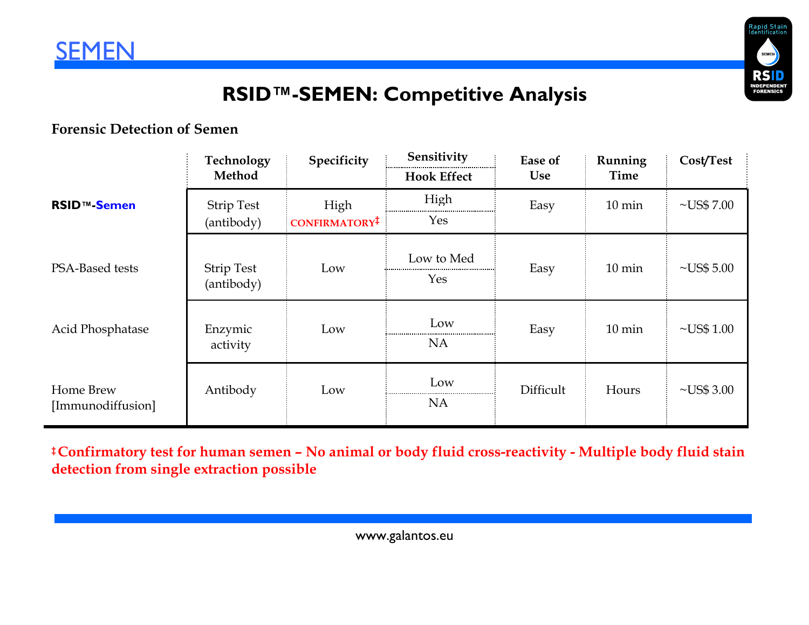



## **RSID™-SEMEN: Competitive Analysis**

#### **Forensic Detection of Semen**

|                                | Technology<br>Method            | Specificity                       | Sensitivity<br><b>Hook Effect</b> | Ease of<br><b>Use</b> | Running<br>Time  | Cost/Test        |
|--------------------------------|---------------------------------|-----------------------------------|-----------------------------------|-----------------------|------------------|------------------|
| <b>RSID<sup>™</sup>-Semen</b>  | <b>Strip Test</b><br>(antibody) | High<br>CONFIRMATORY <sup>‡</sup> | High<br>Yes                       | Easy                  | $10 \text{ min}$ | $\neg$ US\$ 7.00 |
| PSA-Based tests                | <b>Strip Test</b><br>(antibody) | Low                               | Low to Med<br>Yes                 | Easy                  | $10 \text{ min}$ | $\neg$ US\$ 5.00 |
| Acid Phosphatase               | Enzymic<br>activity             | Low                               | Low<br><b>NA</b>                  | Easy                  | $10 \text{ min}$ | $\sim USS$ 1.00  |
| Home Brew<br>[Immunodiffusion] | Antibody                        | Low                               | Low<br><b>NA</b>                  | Difficult             | Hours            | $\neg$ US\$ 3.00 |

**‡Confirmatory test for human semen – No animal or body fluid cross-reactivity - Multiple body fluid stain detection from single extraction possible**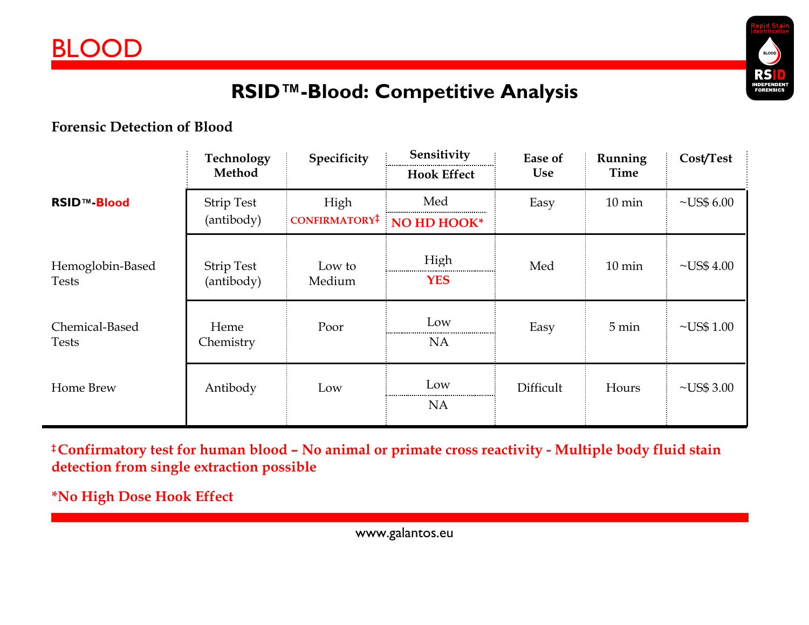

## **RSID™-Blood: Competitive Analysis**

### **Forensic Detection of Blood**

|                                  | Technology<br>Method            | Specificity                       | Sensitivity<br><b>Hook Effect</b> | Ease of<br><b>Use</b> | Running<br>Time  | Cost/Test        |
|----------------------------------|---------------------------------|-----------------------------------|-----------------------------------|-----------------------|------------------|------------------|
| <b>RSID™-Blood</b>               | <b>Strip Test</b><br>(antibody) | High<br>CONFIRMATORY <sup>‡</sup> | Med<br>NO HD HOOK*                | Easy                  | $10 \text{ min}$ | $\neg$ US\$ 6.00 |
| Hemoglobin-Based<br><b>Tests</b> | <b>Strip Test</b><br>(antibody) | Low to<br>Medium                  | High<br><b>YES</b>                | Med                   | $10 \text{ min}$ | $\sim USS 4.00$  |
| Chemical-Based<br><b>Tests</b>   | Heme<br>Chemistry               | Poor                              | Low<br><b>NA</b>                  | Easy                  | 5 min            | $\nu$ US\$ 1.00  |
| Home Brew                        | Antibody                        | Low                               | Low<br><b>NA</b>                  | Difficult             | Hours            | $\neg$ US\$ 3.00 |

**‡Confirmatory test for human blood – No animal or primate cross reactivity - Multiple body fluid stain detection from single extraction possible**

**\*No High Dose Hook Effect** 

www.galantos.eu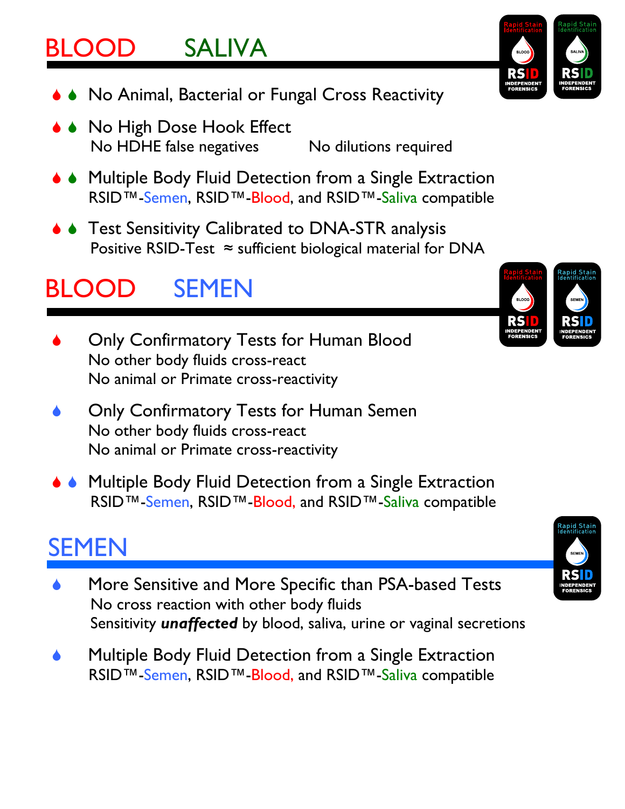# BLOOD SALIVA

- ◆ No Animal, Bacterial or Fungal Cross Reactivity
- ◆ No High Dose Hook Effect No HDHE false negatives No dilutions required
- ◆ Multiple Body Fluid Detection from a Single Extraction RSID™-Semen, RSID™-Blood, and RSID™-Saliva compatible
- ♦ Test Sensitivity Calibrated to DNA-STR analysis Positive RSID-Test  $\approx$  sufficient biological material for DNA

# BLOOD SEMEN

- 6 Only Confirmatory Tests for Human Blood No other body fluids cross-react No animal or Primate cross-reactivity
- 6 Only Confirmatory Tests for Human Semen No other body fluids cross-react No animal or Primate cross-reactivity
- Multiple Body Fluid Detection from a Single Extraction RSID™-Semen, RSID™-Blood, and RSID™-Saliva compatible

# SEMEN

- More Sensitive and More Specific than PSA-based Tests No cross reaction with other body fluids Sensitivity *unaffected* by blood, saliva, urine or vaginal secretions
- Multiple Body Fluid Detection from a Single Extraction RSID™-Semen, RSID™-Blood, and RSID™-Saliva compatible





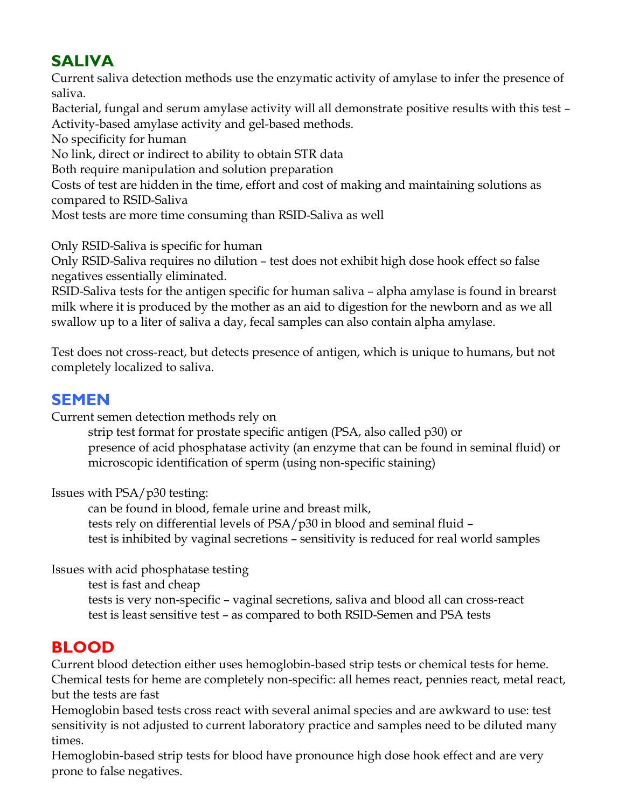## **SALIVA**

Current saliva detection methods use the enzymatic activity of amylase to infer the presence of saliva.

Bacterial, fungal and serum amylase activity will all demonstrate positive results with this test – Activity-based amylase activity and gel-based methods.

No specificity for human

No link, direct or indirect to ability to obtain STR data

Both require manipulation and solution preparation

Costs of test are hidden in the time, effort and cost of making and maintaining solutions as compared to RSID-Saliva

Most tests are more time consuming than RSID-Saliva as well

Only RSID-Saliva is specific for human

Only RSID-Saliva requires no dilution – test does not exhibit high dose hook effect so false negatives essentially eliminated.

RSID-Saliva tests for the antigen specific for human saliva – alpha amylase is found in brearst milk where it is produced by the mother as an aid to digestion for the newborn and as we all swallow up to a liter of saliva a day, fecal samples can also contain alpha amylase.

Test does not cross-react, but detects presence of antigen, which is unique to humans, but not completely localized to saliva.

### **SEMEN**

Current semen detection methods rely on

 strip test format for prostate specific antigen (PSA, also called p30) or presence of acid phosphatase activity (an enzyme that can be found in seminal fluid) or microscopic identification of sperm (using non-specific staining)

Issues with PSA/p30 testing:

 can be found in blood, female urine and breast milk, tests rely on differential levels of PSA/p30 in blood and seminal fluid – test is inhibited by vaginal secretions – sensitivity is reduced for real world samples

Issues with acid phosphatase testing

test is fast and cheap

 tests is very non-specific – vaginal secretions, saliva and blood all can cross-react test is least sensitive test – as compared to both RSID-Semen and PSA tests

### **BLOOD**

Current blood detection either uses hemoglobin-based strip tests or chemical tests for heme. Chemical tests for heme are completely non-specific: all hemes react, pennies react, metal react, but the tests are fast

Hemoglobin based tests cross react with several animal species and are awkward to use: test sensitivity is not adjusted to current laboratory practice and samples need to be diluted many times.

Hemoglobin-based strip tests for blood have pronounce high dose hook effect and are very prone to false negatives.